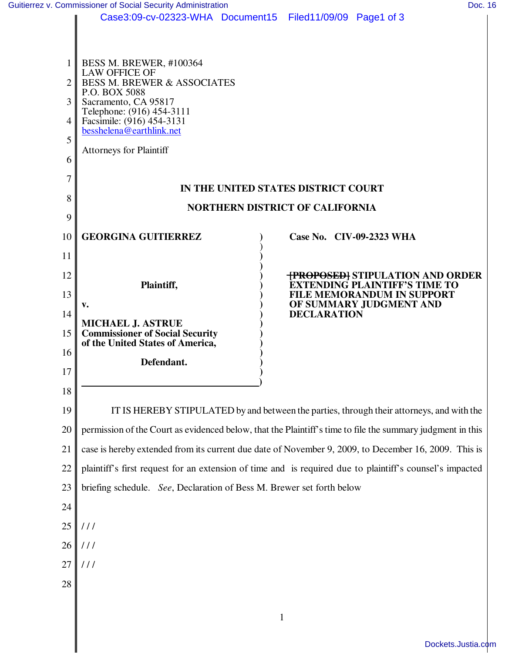| Case3:09-cv-02323-WHA Document15 Filed11/09/09 Page1 of 3 |  |  |  |
|-----------------------------------------------------------|--|--|--|
|-----------------------------------------------------------|--|--|--|

|                | Case3:09-cv-02323-WHA Document15 Filed11/09/09 Page1 of 3                                                  |                                                                                 |  |  |  |
|----------------|------------------------------------------------------------------------------------------------------------|---------------------------------------------------------------------------------|--|--|--|
| 1 <sup>1</sup> | BESS M. BREWER, #100364<br><b>LAW OFFICE OF</b>                                                            |                                                                                 |  |  |  |
| $\overline{2}$ | <b>BESS M. BREWER &amp; ASSOCIATES</b><br>P.O. BOX 5088                                                    |                                                                                 |  |  |  |
| 3              | Sacramento, CA 95817<br>Telephone: (916) 454-3111                                                          |                                                                                 |  |  |  |
| 4              | Facsimile: (916) 454-3131<br>besshelena@earthlink.net                                                      |                                                                                 |  |  |  |
| 5              | <b>Attorneys for Plaintiff</b>                                                                             |                                                                                 |  |  |  |
| 6              |                                                                                                            |                                                                                 |  |  |  |
| 7              | IN THE UNITED STATES DISTRICT COURT                                                                        |                                                                                 |  |  |  |
| 8              | <b>NORTHERN DISTRICT OF CALIFORNIA</b>                                                                     |                                                                                 |  |  |  |
| 9              |                                                                                                            |                                                                                 |  |  |  |
| 10             | <b>GEORGINA GUITIERREZ</b>                                                                                 | Case No. CIV-09-2323 WHA                                                        |  |  |  |
| 11             |                                                                                                            |                                                                                 |  |  |  |
| 12             | Plaintiff,                                                                                                 | <b>TPROPOSEDI STIPULATION AND ORDER</b><br><b>EXTENDING PLAINTIFF'S TIME TO</b> |  |  |  |
| 13             | $V_{\bullet}$                                                                                              | <b>FILE MEMORANDUM IN SUPPORT</b><br>OF SUMMARY JUDGMENT AND                    |  |  |  |
| 14<br>15       | <b>MICHAEL J. ASTRUE</b><br><b>Commissioner of Social Security</b>                                         | <b>DECLARATION</b>                                                              |  |  |  |
| 16             | of the United States of America,                                                                           |                                                                                 |  |  |  |
| 17             | Defendant.                                                                                                 |                                                                                 |  |  |  |
| 18             |                                                                                                            |                                                                                 |  |  |  |
| 19             | IT IS HEREBY STIPULATED by and between the parties, through their attorneys, and with the                  |                                                                                 |  |  |  |
| 20             | permission of the Court as evidenced below, that the Plaintiff's time to file the summary judgment in this |                                                                                 |  |  |  |
| 21             | case is hereby extended from its current due date of November 9, 2009, to December 16, 2009. This is       |                                                                                 |  |  |  |
| 22             | plaintiff's first request for an extension of time and is required due to plaintiff's counsel's impacted   |                                                                                 |  |  |  |
| 23             | briefing schedule. See, Declaration of Bess M. Brewer set forth below                                      |                                                                                 |  |  |  |
| 24             |                                                                                                            |                                                                                 |  |  |  |
| 25             | 111                                                                                                        |                                                                                 |  |  |  |
| 26             | 111                                                                                                        |                                                                                 |  |  |  |
| 27             | 111                                                                                                        |                                                                                 |  |  |  |
| 28             |                                                                                                            |                                                                                 |  |  |  |
|                |                                                                                                            |                                                                                 |  |  |  |

1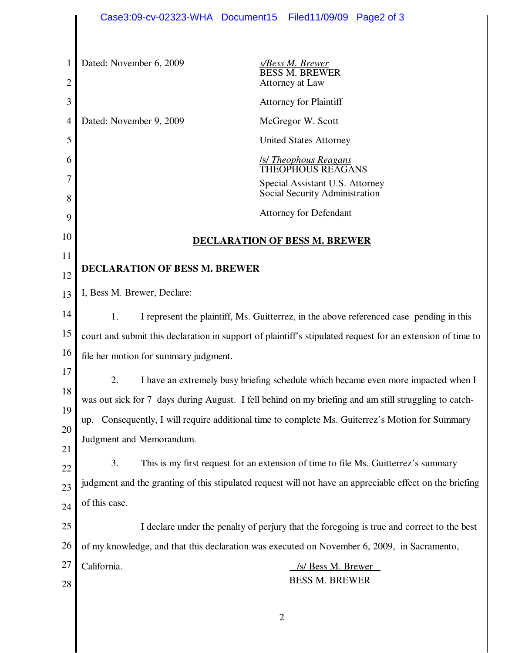|                     | Case3:09-cv-02323-WHA Document15                                                                           | Filed11/09/09 Page2 of 3                                                                    |  |  |  |
|---------------------|------------------------------------------------------------------------------------------------------------|---------------------------------------------------------------------------------------------|--|--|--|
|                     |                                                                                                            |                                                                                             |  |  |  |
| 1<br>$\overline{c}$ | Dated: November 6, 2009                                                                                    | <b>s/Bess M. Brewer</b><br>BESS M. BREWER<br>Attorney at Law                                |  |  |  |
| 3                   |                                                                                                            | <b>Attorney for Plaintiff</b>                                                               |  |  |  |
| 4                   | Dated: November 9, 2009                                                                                    | McGregor W. Scott                                                                           |  |  |  |
| 5                   |                                                                                                            | <b>United States Attorney</b>                                                               |  |  |  |
| 6                   |                                                                                                            | <b>S Theophous Reagans</b><br>THEOPHOUS REAGANS                                             |  |  |  |
| 7                   |                                                                                                            | Special Assistant U.S. Attorney                                                             |  |  |  |
| 8                   |                                                                                                            | Social Security Administration                                                              |  |  |  |
| 9                   |                                                                                                            | <b>Attorney for Defendant</b>                                                               |  |  |  |
| 10                  | <b>DECLARATION OF BESS M. BREWER</b>                                                                       |                                                                                             |  |  |  |
| 11                  | DECLARATION OF BESS M. BREWER                                                                              |                                                                                             |  |  |  |
| 12                  |                                                                                                            |                                                                                             |  |  |  |
| 13                  | I, Bess M. Brewer, Declare:                                                                                |                                                                                             |  |  |  |
| 14                  | 1.                                                                                                         | I represent the plaintiff, Ms. Guitterrez, in the above referenced case pending in this     |  |  |  |
| 15                  | court and submit this declaration in support of plaintiff's stipulated request for an extension of time to |                                                                                             |  |  |  |
| 16                  | file her motion for summary judgment.                                                                      |                                                                                             |  |  |  |
| 17                  | I have an extremely busy briefing schedule which became even more impacted when I                          |                                                                                             |  |  |  |
| 18                  | was out sick for 7 days during August. I fell behind on my briefing and am still struggling to catch-      |                                                                                             |  |  |  |
| 19                  | Consequently, I will require additional time to complete Ms. Guiterrez's Motion for Summary<br>up.         |                                                                                             |  |  |  |
| 20                  | Judgment and Memorandum.                                                                                   |                                                                                             |  |  |  |
| 21                  | 3.                                                                                                         | This is my first request for an extension of time to file Ms. Guitterrez's summary          |  |  |  |
| 22                  | judgment and the granting of this stipulated request will not have an appreciable effect on the briefing   |                                                                                             |  |  |  |
| 23                  | of this case.                                                                                              |                                                                                             |  |  |  |
| 24                  |                                                                                                            |                                                                                             |  |  |  |
| 25                  |                                                                                                            | I declare under the penalty of perjury that the foregoing is true and correct to the best   |  |  |  |
| 26                  |                                                                                                            | of my knowledge, and that this declaration was executed on November 6, 2009, in Sacramento, |  |  |  |
| 27                  | California.                                                                                                | /s/ Bess M. Brewer<br><b>BESS M. BREWER</b>                                                 |  |  |  |
| 28                  |                                                                                                            |                                                                                             |  |  |  |
|                     |                                                                                                            |                                                                                             |  |  |  |